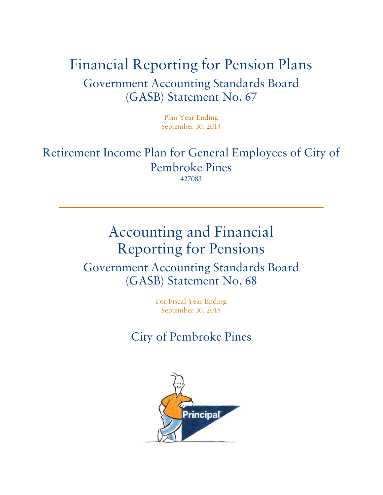# Financial Reporting for Pension Plans Government Accounting Standards Board (GASB) Statement No. 67

Plan Year Ending September 30, 2014

Retirement Income Plan for General Employees of City of Pembroke Pines 427083

# Accounting and Financial Reporting for Pensions Government Accounting Standards Board (GASB) Statement No. 68

For Fiscal Year Ending September 30, 2015

City of Pembroke Pines

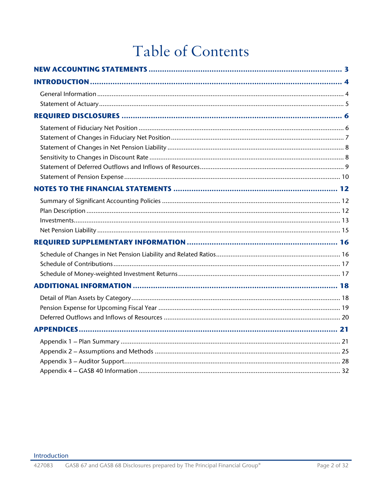# Table of Contents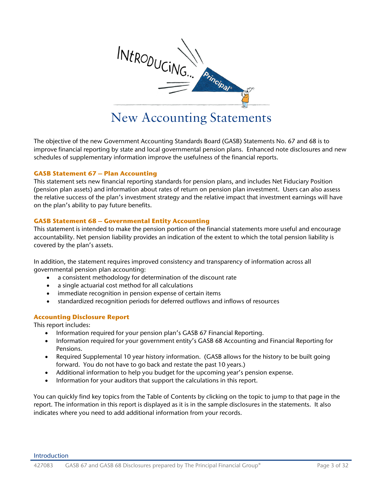

# New Accounting Statements

<span id="page-2-0"></span>The objective of the new Government Accounting Standards Board (GASB) Statements No. 67 and 68 is to improve financial reporting by state and local governmental pension plans. Enhanced note disclosures and new schedules of supplementary information improve the usefulness of the financial reports.

#### **GASB Statement 67 – Plan Accounting**

This statement sets new financial reporting standards for pension plans, and includes Net Fiduciary Position (pension plan assets) and information about rates of return on pension plan investment. Users can also assess the relative success of the plan's investment strategy and the relative impact that investment earnings will have on the plan's ability to pay future benefits.

#### **GASB Statement 68 – Governmental Entity Accounting**

This statement is intended to make the pension portion of the financial statements more useful and encourage accountability. Net pension liability provides an indication of the extent to which the total pension liability is covered by the plan's assets.

In addition, the statement requires improved consistency and transparency of information across all governmental pension plan accounting:

- a consistent methodology for determination of the discount rate
- a single actuarial cost method for all calculations
- immediate recognition in pension expense of certain items
- standardized recognition periods for deferred outflows and inflows of resources

#### **Accounting Disclosure Report**

This report includes:

- Information required for your pension plan's GASB 67 Financial Reporting.
- Information required for your government entity's GASB 68 Accounting and Financial Reporting for Pensions.
- Required Supplemental 10 year history information. (GASB allows for the history to be built going forward. You do not have to go back and restate the past 10 years.)
- Additional information to help you budget for the upcoming year's pension expense.
- Information for your auditors that support the calculations in this report.

You can quickly find key topics from the Table of Contents by clicking on the topic to jump to that page in the report. The information in this report is displayed as it is in the sample disclosures in the statements. It also indicates where you need to add additional information from your records.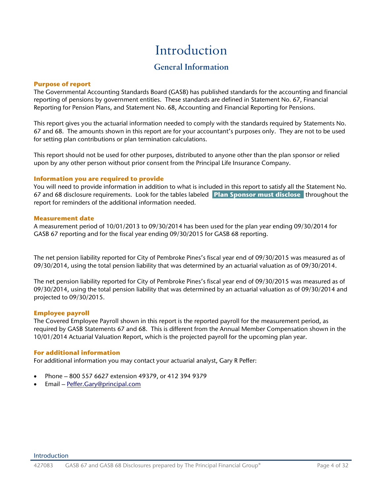# Introduction

## **General Information**

#### <span id="page-3-1"></span><span id="page-3-0"></span>**Purpose of report**

The Governmental Accounting Standards Board (GASB) has published standards for the accounting and financial reporting of pensions by government entities. These standards are defined in Statement No. 67, Financial Reporting for Pension Plans, and Statement No. 68, Accounting and Financial Reporting for Pensions.

This report gives you the actuarial information needed to comply with the standards required by Statements No. 67 and 68. The amounts shown in this report are for your accountant's purposes only. They are not to be used for setting plan contributions or plan termination calculations.

This report should not be used for other purposes, distributed to anyone other than the plan sponsor or relied upon by any other person without prior consent from the Principal Life Insurance Company.

#### **Information you are required to provide**

You will need to provide information in addition to what is included in this report to satisfy all the Statement No. 67 and 68 disclosure requirements. Look for the tables labeled **Plan Sponsor must disclose** throughout the report for reminders of the additional information needed.

#### **Measurement date**

A measurement period of 10/01/2013 to 09/30/2014 has been used for the plan year ending 09/30/2014 for GASB 67 reporting and for the fiscal year ending 09/30/2015 for GASB 68 reporting.

The net pension liability reported for City of Pembroke Pines's fiscal year end of 09/30/2015 was measured as of 09/30/2014, using the total pension liability that was determined by an actuarial valuation as of 09/30/2014.

The net pension liability reported for City of Pembroke Pines's fiscal year end of 09/30/2015 was measured as of 09/30/2014, using the total pension liability that was determined by an actuarial valuation as of 09/30/2014 and projected to 09/30/2015.

#### **Employee payroll**

The Covered Employee Payroll shown in this report is the reported payroll for the measurement period, as required by GASB Statements 67 and 68. This is different from the Annual Member Compensation shown in the 10/01/2014 Actuarial Valuation Report, which is the projected payroll for the upcoming plan year.

#### **For additional information**

For additional information you may contact your actuarial analyst, Gary R Peffer:

- Phone 800 557 6627 extension 49379, or 412 394 9379
- Email [Peffer.Gary@principal.com](mailto:Peffer.Gary@principal.com)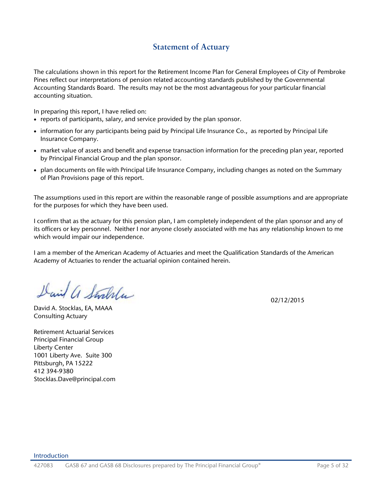## **Statement of Actuary**

<span id="page-4-0"></span>The calculations shown in this report for the Retirement Income Plan for General Employees of City of Pembroke Pines reflect our interpretations of pension related accounting standards published by the Governmental Accounting Standards Board. The results may not be the most advantageous for your particular financial accounting situation.

In preparing this report, I have relied on:

- reports of participants, salary, and service provided by the plan sponsor.
- information for any participants being paid by Principal Life Insurance Co., as reported by Principal Life Insurance Company.
- market value of assets and benefit and expense transaction information for the preceding plan year, reported by Principal Financial Group and the plan sponsor.
- plan documents on file with Principal Life Insurance Company, including changes as noted on the Summary of Plan Provisions page of this report.

The assumptions used in this report are within the reasonable range of possible assumptions and are appropriate for the purposes for which they have been used.

I confirm that as the actuary for this pension plan, I am completely independent of the plan sponsor and any of its officers or key personnel. Neither I nor anyone closely associated with me has any relationship known to me which would impair our independence.

I am a member of the American Academy of Actuaries and meet the Qualification Standards of the American Academy of Actuaries to render the actuarial opinion contained herein.

David a Stockla

David A. Stocklas, EA, MAAA Consulting Actuary

Retirement Actuarial Services Principal Financial Group Liberty Center 1001 Liberty Ave. Suite 300 Pittsburgh, PA 15222 412 394-9380 Stocklas.Dave@principal.com 02/12/2015

#### Introduction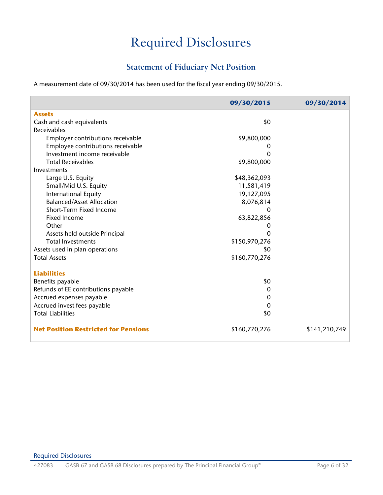# Required Disclosures

## **Statement of Fiduciary Net Position**

<span id="page-5-1"></span><span id="page-5-0"></span>A measurement date of 09/30/2014 has been used for the fiscal year ending 09/30/2015.

|                                             | 09/30/2015    | 09/30/2014    |
|---------------------------------------------|---------------|---------------|
| <b>Assets</b>                               |               |               |
| Cash and cash equivalents                   | \$0           |               |
| Receivables                                 |               |               |
| Employer contributions receivable           | \$9,800,000   |               |
| Employee contributions receivable           | O             |               |
| Investment income receivable                | Ω             |               |
| <b>Total Receivables</b>                    | \$9,800,000   |               |
| Investments                                 |               |               |
| Large U.S. Equity                           | \$48,362,093  |               |
| Small/Mid U.S. Equity                       | 11,581,419    |               |
| International Equity                        | 19,127,095    |               |
| <b>Balanced/Asset Allocation</b>            | 8,076,814     |               |
| Short-Term Fixed Income                     |               |               |
| <b>Fixed Income</b>                         | 63,822,856    |               |
| Other                                       | 0             |               |
| Assets held outside Principal               | 0             |               |
| <b>Total Investments</b>                    | \$150,970,276 |               |
| Assets used in plan operations              | \$0           |               |
| <b>Total Assets</b>                         | \$160,770,276 |               |
| <b>Liabilities</b>                          |               |               |
| Benefits payable                            | \$0           |               |
| Refunds of EE contributions payable         | 0             |               |
| Accrued expenses payable                    | 0             |               |
| Accrued invest fees payable                 | 0             |               |
| <b>Total Liabilities</b>                    | \$0           |               |
| <b>Net Position Restricted for Pensions</b> | \$160,770,276 | \$141,210,749 |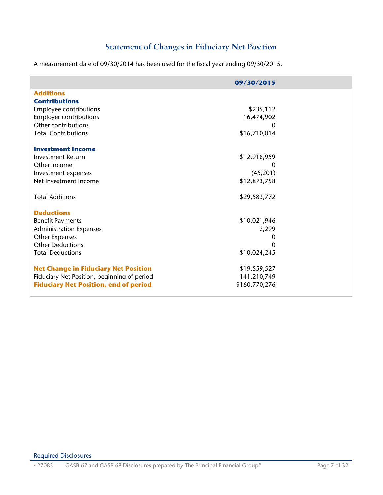## **Statement of Changes in Fiduciary Net Position**

<span id="page-6-0"></span>A measurement date of 09/30/2014 has been used for the fiscal year ending 09/30/2015.

|                                              | 09/30/2015    |  |
|----------------------------------------------|---------------|--|
| <b>Additions</b>                             |               |  |
| <b>Contributions</b>                         |               |  |
| Employee contributions                       | \$235,112     |  |
| <b>Employer contributions</b>                | 16,474,902    |  |
| Other contributions                          |               |  |
| <b>Total Contributions</b>                   | \$16,710,014  |  |
| <b>Investment Income</b>                     |               |  |
| <b>Investment Return</b>                     | \$12,918,959  |  |
| Other income                                 | 0             |  |
| Investment expenses                          | (45,201)      |  |
| Net Investment Income                        | \$12,873,758  |  |
| <b>Total Additions</b>                       | \$29,583,772  |  |
| <b>Deductions</b>                            |               |  |
| <b>Benefit Payments</b>                      | \$10,021,946  |  |
| <b>Administration Expenses</b>               | 2,299         |  |
| Other Expenses                               | 0             |  |
| <b>Other Deductions</b>                      | 0             |  |
| <b>Total Deductions</b>                      | \$10,024,245  |  |
| <b>Net Change in Fiduciary Net Position</b>  | \$19,559,527  |  |
| Fiduciary Net Position, beginning of period  | 141,210,749   |  |
| <b>Fiduciary Net Position, end of period</b> | \$160,770,276 |  |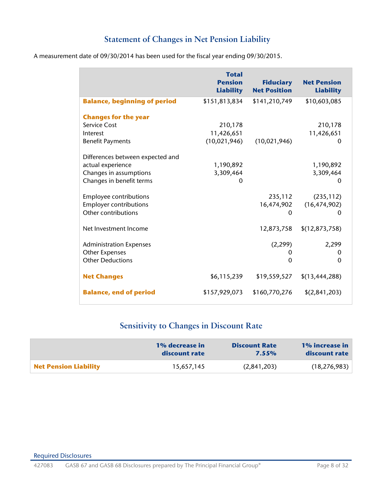## **Statement of Changes in Net Pension Liability**

<span id="page-7-0"></span>

| A measurement date of 09/30/2014 has been used for the fiscal year ending 09/30/2015. |  |
|---------------------------------------------------------------------------------------|--|
|---------------------------------------------------------------------------------------|--|

|                                     | <b>Total</b><br><b>Pension</b><br><b>Liability</b> | <b>Fiduciary</b><br><b>Net Position</b> | <b>Net Pension</b><br><b>Liability</b> |
|-------------------------------------|----------------------------------------------------|-----------------------------------------|----------------------------------------|
| <b>Balance, beginning of period</b> | \$151,813,834                                      | \$141,210,749                           | \$10,603,085                           |
| <b>Changes for the year</b>         |                                                    |                                         |                                        |
| <b>Service Cost</b>                 | 210,178                                            |                                         | 210,178                                |
| Interest                            | 11,426,651                                         |                                         | 11,426,651                             |
| <b>Benefit Payments</b>             | (10, 021, 946)                                     | (10,021,946)                            | O                                      |
| Differences between expected and    |                                                    |                                         |                                        |
| actual experience                   | 1,190,892                                          |                                         | 1,190,892                              |
| Changes in assumptions              | 3,309,464                                          |                                         | 3,309,464                              |
| Changes in benefit terms            | $\Omega$                                           |                                         | 0                                      |
|                                     |                                                    |                                         |                                        |
| <b>Employee contributions</b>       |                                                    | 235,112                                 | (235, 112)                             |
| <b>Employer contributions</b>       |                                                    | 16,474,902                              | (16, 474, 902)                         |
| Other contributions                 |                                                    | $\Omega$                                | $\Omega$                               |
| Net Investment Income               |                                                    | 12,873,758                              | \$(12, 873, 758)                       |
|                                     |                                                    |                                         |                                        |
| <b>Administration Expenses</b>      |                                                    | (2, 299)                                | 2,299                                  |
| <b>Other Expenses</b>               |                                                    | O                                       | 0                                      |
| <b>Other Deductions</b>             |                                                    | $\mathbf{0}$                            | $\mathbf 0$                            |
| <b>Net Changes</b>                  | \$6,115,239                                        | \$19,559,527                            | \$(13,444,288)                         |
| <b>Balance, end of period</b>       | \$157,929,073                                      | \$160,770,276                           | \$(2,841,203)                          |

# **Sensitivity to Changes in Discount Rate**

<span id="page-7-1"></span>

|                              | 1% decrease in | <b>Discount Rate</b> | 1% increase in |
|------------------------------|----------------|----------------------|----------------|
|                              | discount rate  | $7.55\%$             | discount rate  |
| <b>Net Pension Liability</b> | 15,657,145     | (2,841,203)          | (18, 276, 983) |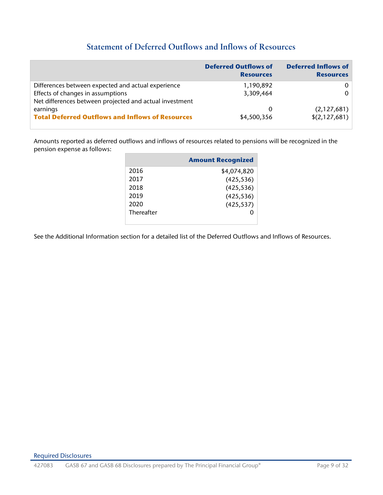## **Statement of Deferred Outflows and Inflows of Resources**

<span id="page-8-0"></span>

|                                                         | <b>Deferred Outflows of</b><br><b>Resources</b> | <b>Deferred Inflows of</b><br><b>Resources</b> |
|---------------------------------------------------------|-------------------------------------------------|------------------------------------------------|
| Differences between expected and actual experience      | 1,190,892                                       | $\Omega$                                       |
| Effects of changes in assumptions                       | 3,309,464                                       | $\Omega$                                       |
| Net differences between projected and actual investment |                                                 |                                                |
| earnings                                                | $\Omega$                                        | (2,127,681)                                    |
| <b>Total Deferred Outflows and Inflows of Resources</b> | \$4,500,356                                     | \$(2,127,681)                                  |

Amounts reported as deferred outflows and inflows of resources related to pensions will be recognized in the pension expense as follows:

|            | <b>Amount Recognized</b> |
|------------|--------------------------|
| 2016       | \$4,074,820              |
| 2017       | (425, 536)               |
| 2018       | (425, 536)               |
| 2019       | (425, 536)               |
| 2020       | (425, 537)               |
| Thereafter |                          |
|            |                          |

See the Additional Information section for a detailed list of the Deferred Outflows and Inflows of Resources.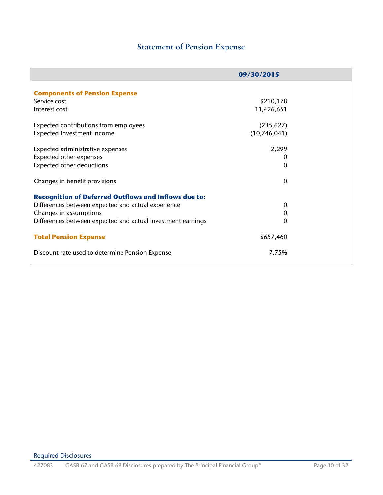## **Statement of Pension Expense**

<span id="page-9-0"></span>

|                                                             | 09/30/2015   |  |
|-------------------------------------------------------------|--------------|--|
|                                                             |              |  |
| <b>Components of Pension Expense</b>                        |              |  |
| Service cost                                                | \$210,178    |  |
| Interest cost                                               | 11,426,651   |  |
| Expected contributions from employees                       | (235, 627)   |  |
| Expected Investment income                                  | (10,746,041) |  |
| Expected administrative expenses                            | 2,299        |  |
|                                                             |              |  |
| Expected other expenses                                     | $\mathbf 0$  |  |
| <b>Expected other deductions</b>                            | $\mathbf{0}$ |  |
| Changes in benefit provisions                               | $\mathbf{0}$ |  |
| <b>Recognition of Deferred Outflows and Inflows due to:</b> |              |  |
| Differences between expected and actual experience          | 0            |  |
| Changes in assumptions                                      | $\mathbf 0$  |  |
| Differences between expected and actual investment earnings | $\mathbf{0}$ |  |
| <b>Total Pension Expense</b>                                | \$657,460    |  |
| Discount rate used to determine Pension Expense             | 7.75%        |  |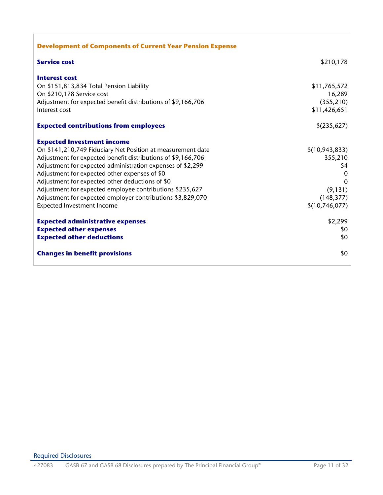| <b>Development of Components of Current Year Pension Expense</b> |                  |
|------------------------------------------------------------------|------------------|
| <b>Service cost</b>                                              | \$210,178        |
| <b>Interest cost</b>                                             |                  |
| On \$151,813,834 Total Pension Liability                         | \$11,765,572     |
| On \$210,178 Service cost                                        | 16,289           |
| Adjustment for expected benefit distributions of \$9,166,706     | (355, 210)       |
| Interest cost                                                    | \$11,426,651     |
| <b>Expected contributions from employees</b>                     | \$(235,627)      |
| <b>Expected Investment income</b>                                |                  |
| On \$141,210,749 Fiduciary Net Position at measurement date      | \$(10, 943, 833) |
| Adjustment for expected benefit distributions of \$9,166,706     | 355,210          |
| Adjustment for expected administration expenses of \$2,299       | 54               |
| Adjustment for expected other expenses of \$0                    | $\Omega$         |
| Adjustment for expected other deductions of \$0                  | $\Omega$         |
| Adjustment for expected employee contributions \$235,627         | (9, 131)         |
| Adjustment for expected employer contributions \$3,829,070       | (148, 377)       |
| Expected Investment Income                                       | \$(10,746,077)   |
| <b>Expected administrative expenses</b>                          | \$2,299          |
| <b>Expected other expenses</b>                                   | \$0              |
| <b>Expected other deductions</b>                                 | \$0              |
| <b>Changes in benefit provisions</b>                             | \$0              |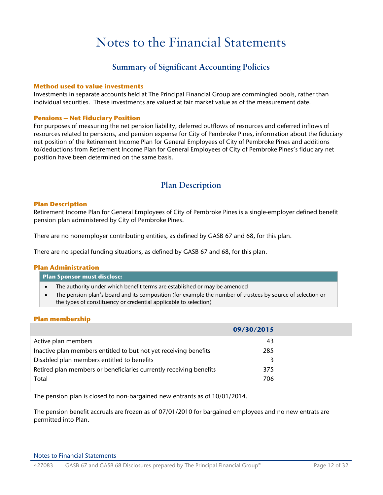# Notes to the Financial Statements

### **Summary of Significant Accounting Policies**

#### <span id="page-11-1"></span><span id="page-11-0"></span>**Method used to value investments**

Investments in separate accounts held at The Principal Financial Group are commingled pools, rather than individual securities. These investments are valued at fair market value as of the measurement date.

#### **Pensions – Net Fiduciary Position**

For purposes of measuring the net pension liability, deferred outflows of resources and deferred inflows of resources related to pensions, and pension expense for City of Pembroke Pines, information about the fiduciary net position of the Retirement Income Plan for General Employees of City of Pembroke Pines and additions to/deductions from Retirement Income Plan for General Employees of City of Pembroke Pines's fiduciary net position have been determined on the same basis.

### **Plan Description**

#### <span id="page-11-2"></span>**Plan Description**

Retirement Income Plan for General Employees of City of Pembroke Pines is a single-employer defined benefit pension plan administered by City of Pembroke Pines.

There are no nonemployer contributing entities, as defined by GASB 67 and 68, for this plan.

There are no special funding situations, as defined by GASB 67 and 68, for this plan.

#### **Plan Administration**

| <b>Plan Sponsor must disclose:</b> |  |
|------------------------------------|--|
|------------------------------------|--|

- The authority under which benefit terms are established or may be amended
- The pension plan's board and its composition (for example the number of trustees by source of selection or the types of constituency or credential applicable to selection)

#### **Plan membership**

|                                                                    | 09/30/2015 |  |
|--------------------------------------------------------------------|------------|--|
| Active plan members                                                | 43         |  |
| Inactive plan members entitled to but not yet receiving benefits   | 285        |  |
| Disabled plan members entitled to benefits                         |            |  |
| Retired plan members or beneficiaries currently receiving benefits | 375        |  |
| Total                                                              | 706        |  |

The pension plan is closed to non-bargained new entrants as of 10/01/2014.

The pension benefit accruals are frozen as of 07/01/2010 for bargained employees and no new entrats are permitted into Plan.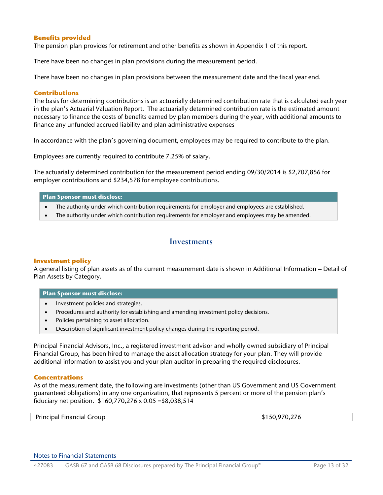#### **Benefits provided**

The pension plan provides for retirement and other benefits as shown in Appendix 1 of this report.

There have been no changes in plan provisions during the measurement period.

There have been no changes in plan provisions between the measurement date and the fiscal year end.

#### **Contributions**

The basis for determining contributions is an actuarially determined contribution rate that is calculated each year in the plan's Actuarial Valuation Report. The actuarially determined contribution rate is the estimated amount necessary to finance the costs of benefits earned by plan members during the year, with additional amounts to finance any unfunded accrued liability and plan administrative expenses

In accordance with the plan's governing document, employees may be required to contribute to the plan.

Employees are currently required to contribute 7.25% of salary.

The actuarially determined contribution for the measurement period ending 09/30/2014 is \$2,707,856 for employer contributions and \$234,578 for employee contributions.

#### **Plan Sponsor must disclose:**

- The authority under which contribution requirements for employer and employees are established.
- The authority under which contribution requirements for employer and employees may be amended.

#### <span id="page-12-0"></span>**Investments**

#### **Investment policy**

A general listing of plan assets as of the current measurement date is shown in Additional Information – Detail of Plan Assets by Category.

#### **Plan Sponsor must disclose:**

- Investment policies and strategies.
- Procedures and authority for establishing and amending investment policy decisions.
- Policies pertaining to asset allocation.
- Description of significant investment policy changes during the reporting period.

Principal Financial Advisors, Inc., a registered investment advisor and wholly owned subsidiary of Principal Financial Group, has been hired to manage the asset allocation strategy for your plan. They will provide additional information to assist you and your plan auditor in preparing the required disclosures.

#### **Concentrations**

As of the measurement date, the following are investments (other than US Government and US Government guaranteed obligations) in any one organization, that represents 5 percent or more of the pension plan's fiduciary net position. \$160,770,276 x 0.05 =\$8,038,514

Principal Financial Group **\$150,970,276** \$150,970,276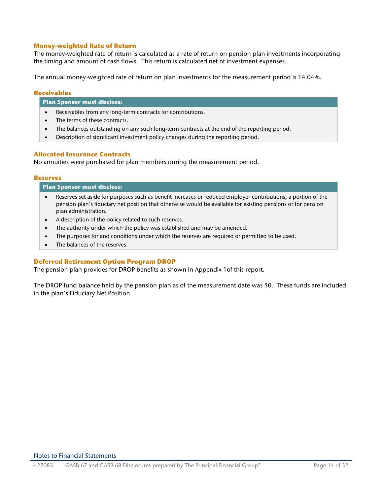#### **Money-weighted Rate of Return**

The money-weighted rate of return is calculated as a rate of return on pension plan investments incorporating the timing and amount of cash flows. This return is calculated net of investment expenses.

The annual money-weighted rate of return on plan investments for the measurement period is 14.04%.

#### **Receivables**

#### **Plan Sponsor must disclose:**

- Receivables from any long-term contracts for contributions.
- The terms of these contracts.
- The balances outstanding on any such long-term contracts at the end of the reporting period.
- Description of significant investment policy changes during the reporting period.

#### **Allocated Insurance Contracts**

No annuities were purchased for plan members during the measurement period.

#### **Reserves**

| <b>Plan Sponsor must disclose:</b>                                                                                                                                                                                            |  |  |  |
|-------------------------------------------------------------------------------------------------------------------------------------------------------------------------------------------------------------------------------|--|--|--|
| Reserves set aside for purposes such as benefit increases or reduced employer contributions, a portion of the<br>pension plan's fiduciary net position that otherwise would be available for existing pensions or for pension |  |  |  |
| plan administration.                                                                                                                                                                                                          |  |  |  |

- A description of the policy related to such reserves.
- The authority under which the policy was established and may be amended.
- The purposes for and conditions under which the reserves are required or permitted to be used.
- The balances of the reserves.

#### **Deferred Retirement Option Program DROP**

The pension plan provides for DROP benefits as shown in Appendix 1of this report.

The DROP fund balance held by the pension plan as of the measurement date was \$0. These funds are included in the plan's Fiduciary Net Position.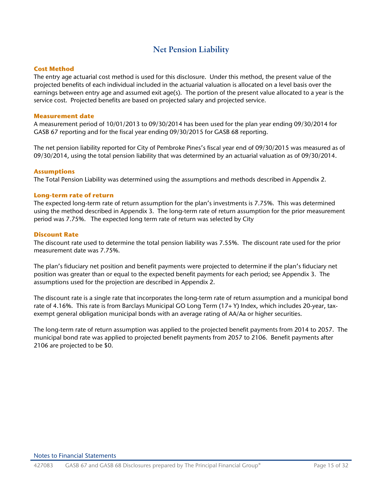### **Net Pension Liability**

#### <span id="page-14-0"></span>**Cost Method**

The entry age actuarial cost method is used for this disclosure. Under this method, the present value of the projected benefits of each individual included in the actuarial valuation is allocated on a level basis over the earnings between entry age and assumed exit age(s). The portion of the present value allocated to a year is the service cost. Projected benefits are based on projected salary and projected service.

#### **Measurement date**

A measurement period of 10/01/2013 to 09/30/2014 has been used for the plan year ending 09/30/2014 for GASB 67 reporting and for the fiscal year ending 09/30/2015 for GASB 68 reporting.

The net pension liability reported for City of Pembroke Pines's fiscal year end of 09/30/2015 was measured as of 09/30/2014, using the total pension liability that was determined by an actuarial valuation as of 09/30/2014.

#### **Assumptions**

The Total Pension Liability was determined using the assumptions and methods described in Appendix 2.

#### **Long-term rate of return**

The expected long-term rate of return assumption for the plan's investments is 7.75%. This was determined using the method described in Appendix 3. The long-term rate of return assumption for the prior measurement period was 7.75%. The expected long term rate of return was selected by City

#### **Discount Rate**

The discount rate used to determine the total pension liability was 7.55%. The discount rate used for the prior measurement date was 7.75%.

The plan's fiduciary net position and benefit payments were projected to determine if the plan's fiduciary net position was greater than or equal to the expected benefit payments for each period; see Appendix 3. The assumptions used for the projection are described in Appendix 2.

The discount rate is a single rate that incorporates the long-term rate of return assumption and a municipal bond rate of 4.16%. This rate is from Barclays Municipal GO Long Term (17+ Y) Index, which includes 20-year, taxexempt general obligation municipal bonds with an average rating of AA/Aa or higher securities.

The long-term rate of return assumption was applied to the projected benefit payments from 2014 to 2057. The municipal bond rate was applied to projected benefit payments from 2057 to 2106. Benefit payments after 2106 are projected to be \$0.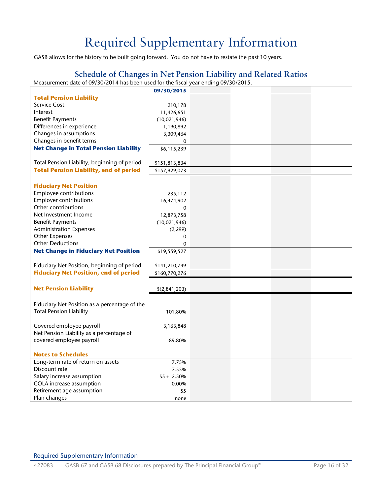# Required Supplementary Information

<span id="page-15-0"></span>GASB allows for the history to be built going forward. You do not have to restate the past 10 years.

## **Schedule of Changes in Net Pension Liability and Related Ratios**

<span id="page-15-1"></span>Measurement date of 09/30/2014 has been used for the fiscal year ending 09/30/2015.

|                                               | 09/30/2015    |  |  |
|-----------------------------------------------|---------------|--|--|
| <b>Total Pension Liability</b>                |               |  |  |
| Service Cost                                  | 210,178       |  |  |
| Interest                                      | 11,426,651    |  |  |
| <b>Benefit Payments</b>                       | (10,021,946)  |  |  |
| Differences in experience                     | 1,190,892     |  |  |
| Changes in assumptions                        | 3,309,464     |  |  |
| Changes in benefit terms                      | 0             |  |  |
| <b>Net Change in Total Pension Liability</b>  | \$6,115,239   |  |  |
|                                               |               |  |  |
| Total Pension Liability, beginning of period  | \$151,813,834 |  |  |
| <b>Total Pension Liability, end of period</b> | \$157,929,073 |  |  |
|                                               |               |  |  |
| <b>Fiduciary Net Position</b>                 |               |  |  |
| Employee contributions                        | 235,112       |  |  |
| <b>Employer contributions</b>                 | 16,474,902    |  |  |
| Other contributions                           | $\mathbf 0$   |  |  |
| Net Investment Income                         | 12,873,758    |  |  |
| <b>Benefit Payments</b>                       | (10,021,946)  |  |  |
| <b>Administration Expenses</b>                | (2, 299)      |  |  |
| <b>Other Expenses</b>                         | 0             |  |  |
| <b>Other Deductions</b>                       | $\mathbf 0$   |  |  |
| <b>Net Change in Fiduciary Net Position</b>   | \$19,559,527  |  |  |
|                                               |               |  |  |
| Fiduciary Net Position, beginning of period   |               |  |  |
| <b>Fiduciary Net Position, end of period</b>  | \$141,210,749 |  |  |
|                                               | \$160,770,276 |  |  |
|                                               |               |  |  |
| <b>Net Pension Liability</b>                  | \$(2,841,203) |  |  |
|                                               |               |  |  |
| Fiduciary Net Position as a percentage of the |               |  |  |
| <b>Total Pension Liability</b>                | 101.80%       |  |  |
|                                               |               |  |  |
| Covered employee payroll                      | 3,163,848     |  |  |
| Net Pension Liability as a percentage of      |               |  |  |
| covered employee payroll                      | $-89.80%$     |  |  |
|                                               |               |  |  |
| <b>Notes to Schedules</b>                     |               |  |  |
| Long-term rate of return on assets            | 7.75%         |  |  |
| Discount rate                                 | 7.55%         |  |  |
| Salary increase assumption                    | $S5 + 2.50\%$ |  |  |
| COLA increase assumption                      | 0.00%         |  |  |
| Retirement age assumption                     | 55            |  |  |
| Plan changes                                  | none          |  |  |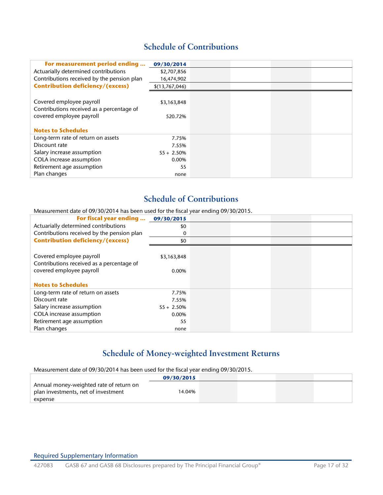## **Schedule of Contributions**

<span id="page-16-0"></span>

| For measurement period ending              | 09/30/2014     |  |  |
|--------------------------------------------|----------------|--|--|
| Actuarially determined contributions       | \$2,707,856    |  |  |
| Contributions received by the pension plan | 16,474,902     |  |  |
| <b>Contribution deficiency/(excess)</b>    | \$(13,767,046) |  |  |
|                                            |                |  |  |
| Covered employee payroll                   | \$3,163,848    |  |  |
| Contributions received as a percentage of  |                |  |  |
| covered employee payroll                   | 520.72%        |  |  |
|                                            |                |  |  |
| <b>Notes to Schedules</b>                  |                |  |  |
| Long-term rate of return on assets         | 7.75%          |  |  |
| Discount rate                              | 7.55%          |  |  |
| Salary increase assumption                 | $S_5 + 2.50\%$ |  |  |
| COLA increase assumption                   | 0.00%          |  |  |
| Retirement age assumption                  | 55             |  |  |
| Plan changes                               | none           |  |  |

## **Schedule of Contributions**

Measurement date of 09/30/2014 has been used for the fiscal year ending 09/30/2015.

| For fiscal year ending  09/30/2015         |                |  |  |
|--------------------------------------------|----------------|--|--|
| Actuarially determined contributions       | \$0            |  |  |
| Contributions received by the pension plan | 0              |  |  |
| <b>Contribution deficiency/(excess)</b>    | \$0            |  |  |
|                                            |                |  |  |
| Covered employee payroll                   | \$3,163,848    |  |  |
| Contributions received as a percentage of  |                |  |  |
| covered employee payroll                   | 0.00%          |  |  |
|                                            |                |  |  |
| <b>Notes to Schedules</b>                  |                |  |  |
| Long-term rate of return on assets         | 7.75%          |  |  |
| Discount rate                              | 7.55%          |  |  |
| Salary increase assumption                 | $S_5 + 2.50\%$ |  |  |
| COLA increase assumption                   | 0.00%          |  |  |
| Retirement age assumption                  | 55             |  |  |
| Plan changes                               | none           |  |  |

## **Schedule of Money-weighted Investment Returns**

<span id="page-16-1"></span>Measurement date of 09/30/2014 has been used for the fiscal year ending 09/30/2015.

|                                         | 09/30/2015 |  |  |
|-----------------------------------------|------------|--|--|
| Annual money-weighted rate of return on |            |  |  |
| plan investments, net of investment     | 14.04%     |  |  |
| expense                                 |            |  |  |

#### Required Supplementary Information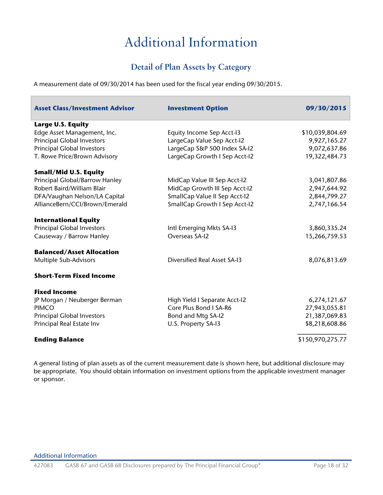# Additional Information

## **Detail of Plan Assets by Category**

<span id="page-17-1"></span><span id="page-17-0"></span>A measurement date of 09/30/2014 has been used for the fiscal year ending 09/30/2015.

| <b>Asset Class/Investment Advisor</b> | <b>Investment Option</b>             | 09/30/2015       |
|---------------------------------------|--------------------------------------|------------------|
| <b>Large U.S. Equity</b>              |                                      |                  |
| Edge Asset Management, Inc.           | <b>Equity Income Sep Acct-I3</b>     | \$10,039,804.69  |
| <b>Principal Global Investors</b>     | LargeCap Value Sep Acct-I2           | 9,927,165.27     |
| <b>Principal Global Investors</b>     | LargeCap S&P 500 Index SA-I2         | 9,072,637.86     |
| T. Rowe Price/Brown Advisory          | LargeCap Growth I Sep Acct-I2        | 19,322,484.73    |
| <b>Small/Mid U.S. Equity</b>          |                                      |                  |
| Principal Global/Barrow Hanley        | MidCap Value III Sep Acct-I2         | 3,041,807.86     |
| Robert Baird/William Blair            | MidCap Growth III Sep Acct-I2        | 2,947,644.92     |
| DFA/Vaughan Nelson/LA Capital         | SmallCap Value II Sep Acct-I2        | 2,844,799.27     |
| AllianceBern/CCI/Brown/Emerald        | <b>SmallCap Growth I Sep Acct-I2</b> | 2,747,166.54     |
| <b>International Equity</b>           |                                      |                  |
| <b>Principal Global Investors</b>     | Intl Emerging Mkts SA-I3             | 3,860,335.24     |
| Causeway / Barrow Hanley              | Overseas SA-I2                       | 15,266,759.53    |
| <b>Balanced/Asset Allocation</b>      |                                      |                  |
| Multiple Sub-Advisors                 | <b>Diversified Real Asset SA-13</b>  | 8,076,813.69     |
| <b>Short-Term Fixed Income</b>        |                                      |                  |
| <b>Fixed Income</b>                   |                                      |                  |
| JP Morgan / Neuberger Berman          | High Yield I Separate Acct-I2        | 6,274,121.67     |
| <b>PIMCO</b>                          | Core Plus Bond I SA-R6               | 27,943,055.81    |
| <b>Principal Global Investors</b>     | Bond and Mtg SA-I2                   | 21,387,069.83    |
| Principal Real Estate Inv             | U.S. Property SA-13                  | \$8,218,608.86   |
| <b>Ending Balance</b>                 |                                      | \$150,970,275.77 |

A general listing of plan assets as of the current measurement date is shown here, but additional disclosure may be appropriate. You should obtain information on investment options from the applicable investment manager or sponsor.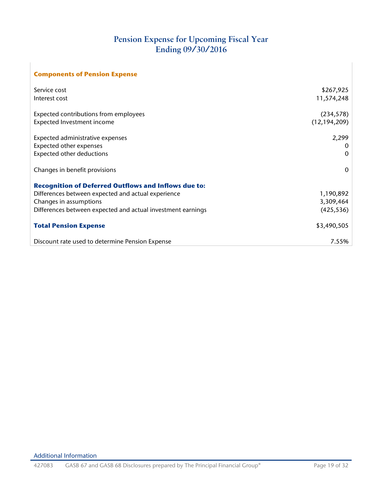## **Pension Expense for Upcoming Fiscal Year Ending 09/30/2016**

<span id="page-18-0"></span>

| <b>Components of Pension Expense</b>                        |                |
|-------------------------------------------------------------|----------------|
| Service cost                                                | \$267,925      |
| Interest cost                                               | 11,574,248     |
| Expected contributions from employees                       | (234, 578)     |
| Expected Investment income                                  | (12, 194, 209) |
| Expected administrative expenses                            | 2,299          |
| Expected other expenses                                     |                |
| Expected other deductions                                   | $\Omega$       |
| Changes in benefit provisions                               | $\Omega$       |
| <b>Recognition of Deferred Outflows and Inflows due to:</b> |                |
| Differences between expected and actual experience          | 1,190,892      |
| Changes in assumptions                                      | 3,309,464      |
| Differences between expected and actual investment earnings | (425, 536)     |
| <b>Total Pension Expense</b>                                | \$3,490,505    |
| Discount rate used to determine Pension Expense             | 7.55%          |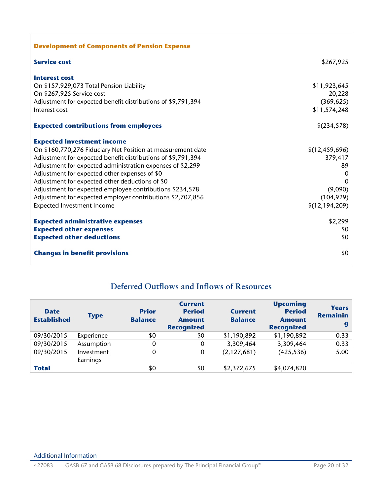| <b>Development of Components of Pension Expense</b>          |                |
|--------------------------------------------------------------|----------------|
| <b>Service cost</b>                                          | \$267,925      |
| <b>Interest cost</b>                                         |                |
| On \$157,929,073 Total Pension Liability                     | \$11,923,645   |
| On \$267,925 Service cost                                    | 20,228         |
| Adjustment for expected benefit distributions of \$9,791,394 | (369, 625)     |
| Interest cost                                                | \$11,574,248   |
| <b>Expected contributions from employees</b>                 | \$(234,578)    |
| <b>Expected Investment income</b>                            |                |
| On \$160,770,276 Fiduciary Net Position at measurement date  | \$(12,459,696) |
| Adjustment for expected benefit distributions of \$9,791,394 | 379,417        |
| Adjustment for expected administration expenses of \$2,299   | 89             |
| Adjustment for expected other expenses of \$0                | $\Omega$       |
| Adjustment for expected other deductions of \$0              | $\Omega$       |
| Adjustment for expected employee contributions \$234,578     | (9,090)        |
| Adjustment for expected employer contributions \$2,707,856   | (104, 929)     |
| <b>Expected Investment Income</b>                            | \$(12,194,209) |
| <b>Expected administrative expenses</b>                      | \$2,299        |
| <b>Expected other expenses</b>                               | \$0            |
| <b>Expected other deductions</b>                             | \$0            |
| <b>Changes in benefit provisions</b>                         | \$0            |

## <span id="page-19-0"></span>**Deferred Outflows and Inflows of Resources**

| <b>Date</b><br><b>Established</b> | <b>Type</b>            | <b>Prior</b><br><b>Balance</b> | <b>Current</b><br><b>Period</b><br><b>Amount</b><br><b>Recognized</b> | <b>Current</b><br><b>Balance</b> | <b>Upcoming</b><br><b>Period</b><br><b>Amount</b><br><b>Recognized</b> | <b>Years</b><br><b>Remainin</b><br>g |
|-----------------------------------|------------------------|--------------------------------|-----------------------------------------------------------------------|----------------------------------|------------------------------------------------------------------------|--------------------------------------|
| 09/30/2015                        | Experience             | \$0                            | \$0                                                                   | \$1,190,892                      | \$1,190,892                                                            | 0.33                                 |
| 09/30/2015                        | Assumption             | 0                              | 0                                                                     | 3,309,464                        | 3,309,464                                                              | 0.33                                 |
| 09/30/2015                        | Investment<br>Earnings | $\Omega$                       | $\mathbf 0$                                                           | (2,127,681)                      | (425, 536)                                                             | 5.00                                 |
| <b>Total</b>                      |                        | \$0                            | \$0                                                                   | \$2,372,675                      | \$4,074,820                                                            |                                      |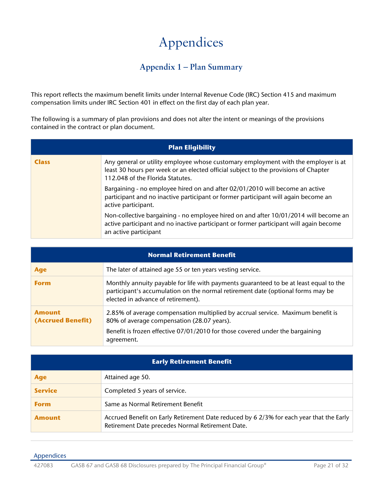## **Appendix 1 – Plan Summary**

<span id="page-20-1"></span><span id="page-20-0"></span>This report reflects the maximum benefit limits under Internal Revenue Code (IRC) Section 415 and maximum compensation limits under IRC Section 401 in effect on the first day of each plan year.

The following is a summary of plan provisions and does not alter the intent or meanings of the provisions contained in the contract or plan document.

|              | <b>Plan Eligibility</b>                                                                                                                                                                                       |  |  |  |
|--------------|---------------------------------------------------------------------------------------------------------------------------------------------------------------------------------------------------------------|--|--|--|
| <b>Class</b> | Any general or utility employee whose customary employment with the employer is at<br>least 30 hours per week or an elected official subject to the provisions of Chapter<br>112.048 of the Florida Statutes. |  |  |  |
|              | Bargaining - no employee hired on and after 02/01/2010 will become an active<br>participant and no inactive participant or former participant will again become an<br>active participant.                     |  |  |  |
|              | Non-collective bargaining - no employee hired on and after 10/01/2014 will become an<br>active participant and no inactive participant or former participant will again become<br>an active participant       |  |  |  |

|                                    | <b>Normal Retirement Benefit</b>                                                                                                                                                                                             |  |  |  |  |  |
|------------------------------------|------------------------------------------------------------------------------------------------------------------------------------------------------------------------------------------------------------------------------|--|--|--|--|--|
| Age                                | The later of attained age 55 or ten years vesting service.                                                                                                                                                                   |  |  |  |  |  |
| <b>Form</b>                        | Monthly annuity payable for life with payments guaranteed to be at least equal to the<br>participant's accumulation on the normal retirement date (optional forms may be<br>elected in advance of retirement).               |  |  |  |  |  |
| <b>Amount</b><br>(Accrued Benefit) | 2.85% of average compensation multiplied by accrual service. Maximum benefit is<br>80% of average compensation (28.07 years).<br>Benefit is frozen effective 07/01/2010 for those covered under the bargaining<br>agreement. |  |  |  |  |  |

| <b>Early Retirement Benefit</b> |                                                                                                                                             |  |  |  |
|---------------------------------|---------------------------------------------------------------------------------------------------------------------------------------------|--|--|--|
| Age                             | Attained age 50.                                                                                                                            |  |  |  |
| <b>Service</b>                  | Completed 5 years of service.                                                                                                               |  |  |  |
| <b>Form</b>                     | Same as Normal Retirement Benefit                                                                                                           |  |  |  |
| <b>Amount</b>                   | Accrued Benefit on Early Retirement Date reduced by 6 2/3% for each year that the Early<br>Retirement Date precedes Normal Retirement Date. |  |  |  |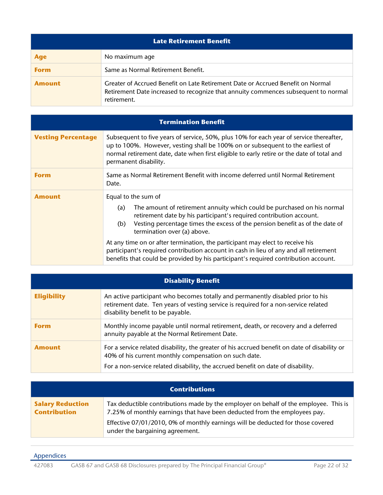| <b>Late Retirement Benefit</b> |                                                                                                                                                                                      |
|--------------------------------|--------------------------------------------------------------------------------------------------------------------------------------------------------------------------------------|
| <b>Age</b>                     | No maximum age                                                                                                                                                                       |
| <b>Form</b>                    | Same as Normal Retirement Benefit.                                                                                                                                                   |
| <b>Amount</b>                  | Greater of Accrued Benefit on Late Retirement Date or Accrued Benefit on Normal<br>Retirement Date increased to recognize that annuity commences subsequent to normal<br>retirement. |

| <b>Termination Benefit</b> |                                                                                                                                                                                                                                                                                                                                                                                                                                                                                                                                                                     |
|----------------------------|---------------------------------------------------------------------------------------------------------------------------------------------------------------------------------------------------------------------------------------------------------------------------------------------------------------------------------------------------------------------------------------------------------------------------------------------------------------------------------------------------------------------------------------------------------------------|
| <b>Vesting Percentage</b>  | Subsequent to five years of service, 50%, plus 10% for each year of service thereafter,<br>up to 100%. However, vesting shall be 100% on or subsequent to the earliest of<br>normal retirement date, date when first eligible to early retire or the date of total and<br>permanent disability.                                                                                                                                                                                                                                                                     |
| <b>Form</b>                | Same as Normal Retirement Benefit with income deferred until Normal Retirement<br>Date.                                                                                                                                                                                                                                                                                                                                                                                                                                                                             |
| <b>Amount</b>              | Equal to the sum of<br>The amount of retirement annuity which could be purchased on his normal<br>(a)<br>retirement date by his participant's required contribution account.<br>Vesting percentage times the excess of the pension benefit as of the date of<br>(b)<br>termination over (a) above.<br>At any time on or after termination, the participant may elect to receive his<br>participant's required contribution account in cash in lieu of any and all retirement<br>benefits that could be provided by his participant's required contribution account. |

| <b>Disability Benefit</b> |                                                                                                                                                                                                             |
|---------------------------|-------------------------------------------------------------------------------------------------------------------------------------------------------------------------------------------------------------|
| <b>Eligibility</b>        | An active participant who becomes totally and permanently disabled prior to his<br>retirement date. Ten years of vesting service is required for a non-service related<br>disability benefit to be payable. |
| <b>Form</b>               | Monthly income payable until normal retirement, death, or recovery and a deferred<br>annuity payable at the Normal Retirement Date.                                                                         |
| <b>Amount</b>             | For a service related disability, the greater of his accrued benefit on date of disability or<br>40% of his current monthly compensation on such date.                                                      |
|                           | For a non-service related disability, the accrued benefit on date of disability.                                                                                                                            |

| <b>Contributions</b>                           |                                                                                                                                                                   |
|------------------------------------------------|-------------------------------------------------------------------------------------------------------------------------------------------------------------------|
| <b>Salary Reduction</b><br><b>Contribution</b> | Tax deductible contributions made by the employer on behalf of the employee. This is<br>7.25% of monthly earnings that have been deducted from the employees pay. |
|                                                | Effective 07/01/2010, 0% of monthly earnings will be deducted for those covered<br>under the bargaining agreement.                                                |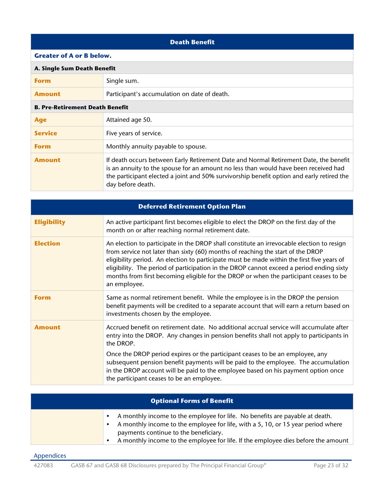| <b>Death Benefit</b>                   |                                                                                                                                                                                                                                                                                                |
|----------------------------------------|------------------------------------------------------------------------------------------------------------------------------------------------------------------------------------------------------------------------------------------------------------------------------------------------|
| <b>Greater of A or B below.</b>        |                                                                                                                                                                                                                                                                                                |
| A. Single Sum Death Benefit            |                                                                                                                                                                                                                                                                                                |
| <b>Form</b>                            | Single sum.                                                                                                                                                                                                                                                                                    |
| <b>Amount</b>                          | Participant's accumulation on date of death.                                                                                                                                                                                                                                                   |
| <b>B. Pre-Retirement Death Benefit</b> |                                                                                                                                                                                                                                                                                                |
| <b>Age</b>                             | Attained age 50.                                                                                                                                                                                                                                                                               |
| <b>Service</b>                         | Five years of service.                                                                                                                                                                                                                                                                         |
| <b>Form</b>                            | Monthly annuity payable to spouse.                                                                                                                                                                                                                                                             |
| <b>Amount</b>                          | If death occurs between Early Retirement Date and Normal Retirement Date, the benefit<br>is an annuity to the spouse for an amount no less than would have been received had<br>the participant elected a joint and 50% survivorship benefit option and early retired the<br>day before death. |

| <b>Deferred Retirement Option Plan</b> |                                                                                                                                                                                                                                                                                                                                                                                                                                                                                 |
|----------------------------------------|---------------------------------------------------------------------------------------------------------------------------------------------------------------------------------------------------------------------------------------------------------------------------------------------------------------------------------------------------------------------------------------------------------------------------------------------------------------------------------|
| <b>Eligibility</b>                     | An active participant first becomes eligible to elect the DROP on the first day of the<br>month on or after reaching normal retirement date.                                                                                                                                                                                                                                                                                                                                    |
| <b>Election</b>                        | An election to participate in the DROP shall constitute an irrevocable election to resign<br>from service not later than sixty (60) months of reaching the start of the DROP<br>eligibility period. An election to participate must be made within the first five years of<br>eligibility. The period of participation in the DROP cannot exceed a period ending sixty<br>months from first becoming eligible for the DROP or when the participant ceases to be<br>an employee. |
| <b>Form</b>                            | Same as normal retirement benefit. While the employee is in the DROP the pension<br>benefit payments will be credited to a separate account that will earn a return based on<br>investments chosen by the employee.                                                                                                                                                                                                                                                             |
| <b>Amount</b>                          | Accrued benefit on retirement date. No additional accrual service will accumulate after<br>entry into the DROP. Any changes in pension benefits shall not apply to participants in<br>the DROP.                                                                                                                                                                                                                                                                                 |
|                                        | Once the DROP period expires or the participant ceases to be an employee, any<br>subsequent pension benefit payments will be paid to the employee. The accumulation<br>in the DROP account will be paid to the employee based on his payment option once<br>the participant ceases to be an employee.                                                                                                                                                                           |

| <b>Optional Forms of Benefit</b> |                                                                                                                                                                                                                                                                                                             |
|----------------------------------|-------------------------------------------------------------------------------------------------------------------------------------------------------------------------------------------------------------------------------------------------------------------------------------------------------------|
|                                  | A monthly income to the employee for life. No benefits are payable at death.<br>A monthly income to the employee for life, with a 5, 10, or 15 year period where<br>payments continue to the beneficiary.<br>A monthly income to the employee for life. If the employee dies before the amount<br>$\bullet$ |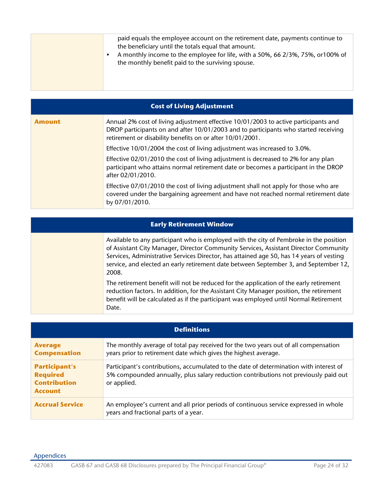|--|

| <b>Cost of Living Adjustment</b> |                                                                                                                                                                                                                                         |
|----------------------------------|-----------------------------------------------------------------------------------------------------------------------------------------------------------------------------------------------------------------------------------------|
| <b>Amount</b>                    | Annual 2% cost of living adjustment effective 10/01/2003 to active participants and<br>DROP participants on and after 10/01/2003 and to participants who started receiving<br>retirement or disability benefits on or after 10/01/2001. |
|                                  | Effective 10/01/2004 the cost of living adjustment was increased to 3.0%.                                                                                                                                                               |
|                                  | Effective 02/01/2010 the cost of living adjustment is decreased to 2% for any plan<br>participant who attains normal retirement date or becomes a participant in the DROP<br>after 02/01/2010.                                          |
|                                  | Effective 07/01/2010 the cost of living adjustment shall not apply for those who are<br>covered under the bargaining agreement and have not reached normal retirement date<br>by 07/01/2010.                                            |

| <b>Early Retirement Window</b> |                                                                                                                                                                                                                                                                                                                                                                             |
|--------------------------------|-----------------------------------------------------------------------------------------------------------------------------------------------------------------------------------------------------------------------------------------------------------------------------------------------------------------------------------------------------------------------------|
|                                | Available to any participant who is employed with the city of Pembroke in the position<br>of Assistant City Manager, Director Community Services, Assistant Director Community<br>Services, Administrative Services Director, has attained age 50, has 14 years of vesting<br>service, and elected an early retirement date between September 3, and September 12,<br>2008. |
|                                | The retirement benefit will not be reduced for the application of the early retirement<br>reduction factors. In addition, for the Assistant City Manager position, the retirement<br>benefit will be calculated as if the participant was employed until Normal Retirement<br>Date.                                                                                         |

| <b>Definitions</b>                                                               |                                                                                                                                                                                              |
|----------------------------------------------------------------------------------|----------------------------------------------------------------------------------------------------------------------------------------------------------------------------------------------|
| <b>Average</b><br><b>Compensation</b>                                            | The monthly average of total pay received for the two years out of all compensation<br>years prior to retirement date which gives the highest average.                                       |
| <b>Participant's</b><br><b>Required</b><br><b>Contribution</b><br><b>Account</b> | Participant's contributions, accumulated to the date of determination with interest of<br>5% compounded annually, plus salary reduction contributions not previously paid out<br>or applied. |
| <b>Accrual Service</b>                                                           | An employee's current and all prior periods of continuous service expressed in whole<br>years and fractional parts of a year.                                                                |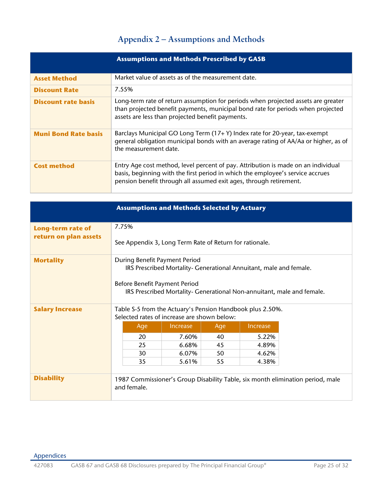## **Appendix 2 – Assumptions and Methods**

<span id="page-24-0"></span>

| <b>Assumptions and Methods Prescribed by GASB</b> |                                                                                                                                                                                                                                           |
|---------------------------------------------------|-------------------------------------------------------------------------------------------------------------------------------------------------------------------------------------------------------------------------------------------|
| <b>Asset Method</b>                               | Market value of assets as of the measurement date.                                                                                                                                                                                        |
| <b>Discount Rate</b>                              | 7.55%                                                                                                                                                                                                                                     |
| <b>Discount rate basis</b>                        | Long-term rate of return assumption for periods when projected assets are greater<br>than projected benefit payments, municipal bond rate for periods when projected<br>assets are less than projected benefit payments.                  |
| <b>Muni Bond Rate basis</b>                       | Barclays Municipal GO Long Term (17+ Y) Index rate for 20-year, tax-exempt<br>general obligation municipal bonds with an average rating of AA/Aa or higher, as of<br>the measurement date.                                                |
| <b>Cost method</b>                                | Entry Age cost method, level percent of pay. Attribution is made on an individual<br>basis, beginning with the first period in which the employee's service accrues<br>pension benefit through all assumed exit ages, through retirement. |

|                          | <b>Assumptions and Methods Selected by Actuary</b>                                                       |                                                                    |     |                 |                                                                                |
|--------------------------|----------------------------------------------------------------------------------------------------------|--------------------------------------------------------------------|-----|-----------------|--------------------------------------------------------------------------------|
| <b>Long-term rate of</b> | 7.75%                                                                                                    |                                                                    |     |                 |                                                                                |
| return on plan assets    | See Appendix 3, Long Term Rate of Return for rationale.                                                  |                                                                    |     |                 |                                                                                |
| <b>Mortality</b>         | During Benefit Payment Period                                                                            |                                                                    |     |                 |                                                                                |
|                          |                                                                                                          | IRS Prescribed Mortality- Generational Annuitant, male and female. |     |                 |                                                                                |
|                          | Before Benefit Payment Period                                                                            |                                                                    |     |                 |                                                                                |
|                          | IRS Prescribed Mortality- Generational Non-annuitant, male and female.                                   |                                                                    |     |                 |                                                                                |
| <b>Salary Increase</b>   | Table S-5 from the Actuary's Pension Handbook plus 2.50%.<br>Selected rates of increase are shown below: |                                                                    |     |                 |                                                                                |
|                          | Age                                                                                                      | <b>Increase</b>                                                    | Age | <b>Increase</b> |                                                                                |
|                          | 20                                                                                                       | 7.60%                                                              | 40  | 5.22%           |                                                                                |
|                          | 25                                                                                                       | 6.68%                                                              | 45  | 4.89%           |                                                                                |
|                          | 30                                                                                                       | 6.07%                                                              | 50  | 4.62%           |                                                                                |
|                          | 35                                                                                                       | 5.61%                                                              | 55  | 4.38%           |                                                                                |
|                          |                                                                                                          |                                                                    |     |                 |                                                                                |
| <b>Disability</b>        |                                                                                                          |                                                                    |     |                 | 1987 Commissioner's Group Disability Table, six month elimination period, male |
|                          | and female.                                                                                              |                                                                    |     |                 |                                                                                |
|                          |                                                                                                          |                                                                    |     |                 |                                                                                |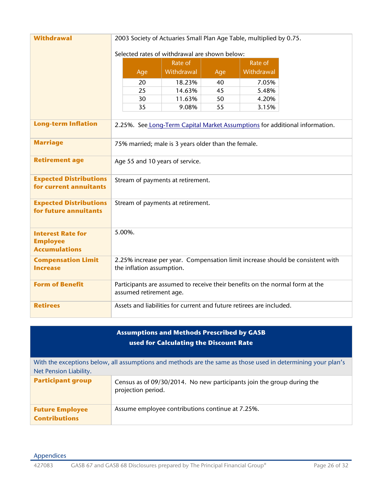| <b>Withdrawal</b>             | 2003 Society of Actuaries Small Plan Age Table, multiplied by 0.75.            |                                   |          |                |                                                                             |
|-------------------------------|--------------------------------------------------------------------------------|-----------------------------------|----------|----------------|-----------------------------------------------------------------------------|
|                               | Selected rates of withdrawal are shown below:                                  |                                   |          |                |                                                                             |
|                               |                                                                                | Rate of                           |          | Rate of        |                                                                             |
|                               | Age                                                                            | Withdrawal                        | Age      | Withdrawal     |                                                                             |
|                               |                                                                                |                                   |          |                |                                                                             |
|                               | 20                                                                             | 18.23%                            | 40       | 7.05%          |                                                                             |
|                               | 25<br>30                                                                       | 14.63%<br>11.63%                  | 45<br>50 | 5.48%<br>4.20% |                                                                             |
|                               | 35                                                                             | 9.08%                             | 55       | 3.15%          |                                                                             |
|                               |                                                                                |                                   |          |                |                                                                             |
| <b>Long-term Inflation</b>    |                                                                                |                                   |          |                | 2.25%. See Long-Term Capital Market Assumptions for additional information. |
|                               |                                                                                |                                   |          |                |                                                                             |
| <b>Marriage</b>               | 75% married; male is 3 years older than the female.                            |                                   |          |                |                                                                             |
| <b>Retirement age</b>         | Age 55 and 10 years of service.                                                |                                   |          |                |                                                                             |
|                               |                                                                                |                                   |          |                |                                                                             |
| <b>Expected Distributions</b> |                                                                                | Stream of payments at retirement. |          |                |                                                                             |
| for current annuitants        |                                                                                |                                   |          |                |                                                                             |
| <b>Expected Distributions</b> | Stream of payments at retirement.                                              |                                   |          |                |                                                                             |
| for future annuitants         |                                                                                |                                   |          |                |                                                                             |
|                               |                                                                                |                                   |          |                |                                                                             |
| <b>Interest Rate for</b>      | 5.00%.                                                                         |                                   |          |                |                                                                             |
| <b>Employee</b>               |                                                                                |                                   |          |                |                                                                             |
| <b>Accumulations</b>          |                                                                                |                                   |          |                |                                                                             |
| <b>Compensation Limit</b>     | 2.25% increase per year. Compensation limit increase should be consistent with |                                   |          |                |                                                                             |
| <b>Increase</b>               | the inflation assumption.                                                      |                                   |          |                |                                                                             |
| <b>Form of Benefit</b>        | Participants are assumed to receive their benefits on the normal form at the   |                                   |          |                |                                                                             |
|                               | assumed retirement age.                                                        |                                   |          |                |                                                                             |
| <b>Retirees</b>               | Assets and liabilities for current and future retirees are included.           |                                   |          |                |                                                                             |
|                               |                                                                                |                                   |          |                |                                                                             |

| <b>Assumptions and Methods Prescribed by GASB</b><br>used for Calculating the Discount Rate |                                                                                                              |  |  |  |  |
|---------------------------------------------------------------------------------------------|--------------------------------------------------------------------------------------------------------------|--|--|--|--|
| Net Pension Liability.                                                                      | With the exceptions below, all assumptions and methods are the same as those used in determining your plan's |  |  |  |  |
| <b>Participant group</b>                                                                    | Census as of 09/30/2014. No new participants join the group during the<br>projection period.                 |  |  |  |  |
| <b>Future Employee</b><br><b>Contributions</b>                                              | Assume employee contributions continue at 7.25%.                                                             |  |  |  |  |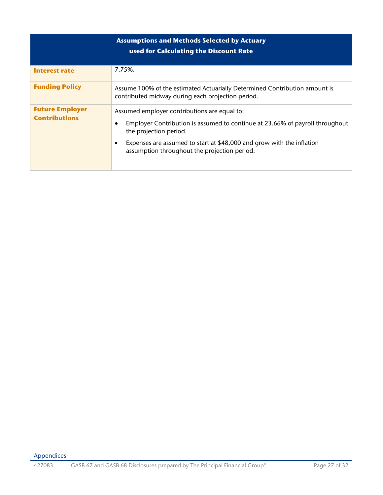| <b>Assumptions and Methods Selected by Actuary</b><br>used for Calculating the Discount Rate |                                                                                                                                                                                                                                                                                                   |  |  |  |  |
|----------------------------------------------------------------------------------------------|---------------------------------------------------------------------------------------------------------------------------------------------------------------------------------------------------------------------------------------------------------------------------------------------------|--|--|--|--|
| <b>Interest rate</b>                                                                         | 7.75%.                                                                                                                                                                                                                                                                                            |  |  |  |  |
| <b>Funding Policy</b>                                                                        | Assume 100% of the estimated Actuarially Determined Contribution amount is<br>contributed midway during each projection period.                                                                                                                                                                   |  |  |  |  |
| <b>Future Employer</b><br><b>Contributions</b>                                               | Assumed employer contributions are equal to:<br>Employer Contribution is assumed to continue at 23.66% of payroll throughout<br>$\bullet$<br>the projection period.<br>Expenses are assumed to start at \$48,000 and grow with the inflation<br>٠<br>assumption throughout the projection period. |  |  |  |  |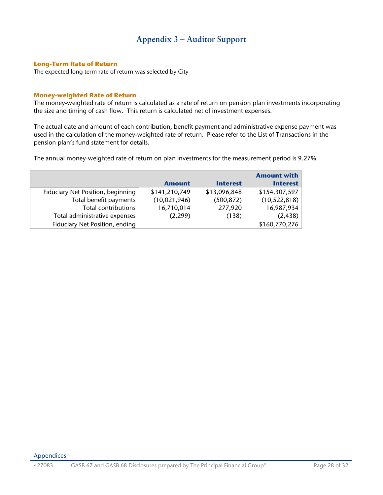## **Appendix 3 – Auditor Support**

#### <span id="page-27-0"></span>**Long-Term Rate of Return**

The expected long term rate of return was selected by City

#### **Money-weighted Rate of Return**

The money-weighted rate of return is calculated as a rate of return on pension plan investments incorporating the size and timing of cash flow. This return is calculated net of investment expenses.

The actual date and amount of each contribution, benefit payment and administrative expense payment was used in the calculation of the money-weighted rate of return. Please refer to the List of Transactions in the pension plan's fund statement for details.

The annual money-weighted rate of return on plan investments for the measurement period is 9.27%.

|               |                 | <b>Amount with</b> |
|---------------|-----------------|--------------------|
| <b>Amount</b> | <b>Interest</b> | <b>Interest</b>    |
| \$141,210,749 | \$13,096,848    | \$154,307,597      |
| (10,021,946)  | (500, 872)      | (10, 522, 818)     |
| 16,710,014    | 277,920         | 16,987,934         |
| (2,299)       | (138)           | (2, 438)           |
|               |                 | \$160,770,276      |
|               |                 |                    |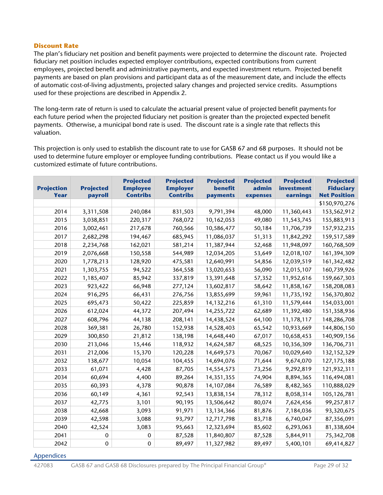#### **Discount Rate**

The plan's fiduciary net position and benefit payments were projected to determine the discount rate. Projected fiduciary net position includes expected employer contributions, expected contributions from current employees, projected benefit and administrative payments, and expected investment return. Projected benefit payments are based on plan provisions and participant data as of the measurement date, and include the effects of automatic cost-of-living adjustments, projected salary changes and projected service credits. Assumptions used for these projections are described in Appendix 2.

The long-term rate of return is used to calculate the actuarial present value of projected benefit payments for each future period when the projected fiduciary net position is greater than the projected expected benefit payments. Otherwise, a municipal bond rate is used. The discount rate is a single rate that reflects this valuation.

This projection is only used to establish the discount rate to use for GASB 67 and 68 purposes. It should not be used to determine future employer or employee funding contributions. Please contact us if you would like a customized estimate of future contributions.

| <b>Projection</b><br>Year | <b>Projected</b><br>payroll | <b>Projected</b><br><b>Employee</b><br><b>Contribs</b> | <b>Projected</b><br><b>Employer</b><br><b>Contribs</b> | <b>Projected</b><br>benefit<br>payments | <b>Projected</b><br>admin<br>expenses | <b>Projected</b><br>investment<br>earnings | <b>Projected</b><br><b>Fiduciary</b><br><b>Net Position</b> |
|---------------------------|-----------------------------|--------------------------------------------------------|--------------------------------------------------------|-----------------------------------------|---------------------------------------|--------------------------------------------|-------------------------------------------------------------|
|                           |                             |                                                        |                                                        |                                         |                                       |                                            | \$150,970,276                                               |
| 2014                      | 3,311,508                   | 240,084                                                | 831,503                                                | 9,791,394                               | 48,000                                | 11,360,443                                 | 153,562,912                                                 |
| 2015                      | 3,038,851                   | 220,317                                                | 768,072                                                | 10,162,053                              | 49,080                                | 11,543,745                                 | 155,883,913                                                 |
| 2016                      | 3,002,461                   | 217,678                                                | 760,566                                                | 10,586,477                              | 50,184                                | 11,706,739                                 | 157,932,235                                                 |
| 2017                      | 2,682,298                   | 194,467                                                | 685,945                                                | 11,086,037                              | 51,313                                | 11,842,292                                 | 159,517,589                                                 |
| 2018                      | 2,234,768                   | 162,021                                                | 581,214                                                | 11,387,944                              | 52,468                                | 11,948,097                                 | 160,768,509                                                 |
| 2019                      | 2,076,668                   | 150,558                                                | 544,989                                                | 12,034,205                              | 53,649                                | 12,018,107                                 | 161,394,309                                                 |
| 2020                      | 1,778,213                   | 128,920                                                | 475,581                                                | 12,640,991                              | 54,856                                | 12,039,519                                 | 161,342,482                                                 |
| 2021                      | 1,303,755                   | 94,522                                                 | 364,558                                                | 13,020,653                              | 56,090                                | 12,015,107                                 | 160,739,926                                                 |
| 2022                      | 1,185,407                   | 85,942                                                 | 337,819                                                | 13,391,648                              | 57,352                                | 11,952,616                                 | 159,667,303                                                 |
| 2023                      | 923,422                     | 66,948                                                 | 277,124                                                | 13,602,817                              | 58,642                                | 11,858,167                                 | 158,208,083                                                 |
| 2024                      | 916,295                     | 66,431                                                 | 276,756                                                | 13,855,699                              | 59,961                                | 11,735,192                                 | 156,370,802                                                 |
| 2025                      | 695,473                     | 50,422                                                 | 225,859                                                | 14,132,216                              | 61,310                                | 11,579,444                                 | 154,033,001                                                 |
| 2026                      | 612,024                     | 44,372                                                 | 207,494                                                | 14,255,722                              | 62,689                                | 11,392,480                                 | 151,358,936                                                 |
| 2027                      | 608,796                     | 44,138                                                 | 208,141                                                | 14,438,524                              | 64,100                                | 11,178,117                                 | 148,286,708                                                 |
| 2028                      | 369,381                     | 26,780                                                 | 152,938                                                | 14,528,403                              | 65,542                                | 10,933,669                                 | 144,806,150                                                 |
| 2029                      | 300,850                     | 21,812                                                 | 138,198                                                | 14,648,440                              | 67,017                                | 10,658,453                                 | 140,909,156                                                 |
| 2030                      | 213,046                     | 15,446                                                 | 118,932                                                | 14,624,587                              | 68,525                                | 10,356,309                                 | 136,706,731                                                 |
| 2031                      | 212,006                     | 15,370                                                 | 120,228                                                | 14,649,573                              | 70,067                                | 10,029,640                                 | 132,152,329                                                 |
| 2032                      | 138,677                     | 10,054                                                 | 104,455                                                | 14,694,076                              | 71,644                                | 9,674,070                                  | 127, 175, 188                                               |
| 2033                      | 61,071                      | 4,428                                                  | 87,705                                                 | 14,554,573                              | 73,256                                | 9,292,819                                  | 121,932,311                                                 |
| 2034                      | 60,694                      | 4,400                                                  | 89,264                                                 | 14,351,355                              | 74,904                                | 8,894,365                                  | 116,494,081                                                 |
| 2035                      | 60,393                      | 4,378                                                  | 90,878                                                 | 14,107,084                              | 76,589                                | 8,482,365                                  | 110,888,029                                                 |
| 2036                      | 60,149                      | 4,361                                                  | 92,543                                                 | 13,838,154                              | 78,312                                | 8,058,314                                  | 105,126,781                                                 |
| 2037                      | 42,775                      | 3,101                                                  | 90,195                                                 | 13,506,642                              | 80,074                                | 7,624,456                                  | 99,257,817                                                  |
| 2038                      | 42,668                      | 3,093                                                  | 91,971                                                 | 13,134,366                              | 81,876                                | 7,184,036                                  | 93,320,675                                                  |
| 2039                      | 42,598                      | 3,088                                                  | 93,797                                                 | 12,717,798                              | 83,718                                | 6,740,047                                  | 87,356,091                                                  |
| 2040                      | 42,524                      | 3,083                                                  | 95,663                                                 | 12,323,694                              | 85,602                                | 6,293,063                                  | 81,338,604                                                  |
| 2041                      | 0                           | $\mathbf 0$                                            | 87,528                                                 | 11,840,807                              | 87,528                                | 5,844,911                                  | 75,342,708                                                  |
| 2042                      | $\mathbf 0$                 | $\pmb{0}$                                              | 89,497                                                 | 11,327,982                              | 89,497                                | 5,400,101                                  | 69,414,827                                                  |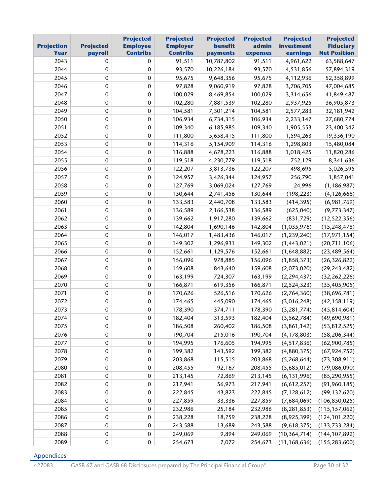| <b>Projection</b><br>Year | <b>Projected</b><br>payroll | <b>Projected</b><br><b>Employee</b><br><b>Contribs</b> | <b>Projected</b><br><b>Employer</b><br><b>Contribs</b> | <b>Projected</b><br>benefit<br>payments | <b>Projected</b><br>admin<br>expenses | <b>Projected</b><br>investment<br>earnings | <b>Projected</b><br><b>Fiduciary</b><br><b>Net Position</b> |
|---------------------------|-----------------------------|--------------------------------------------------------|--------------------------------------------------------|-----------------------------------------|---------------------------------------|--------------------------------------------|-------------------------------------------------------------|
| 2043                      | 0                           | $\mathbf 0$                                            | 91,511                                                 | 10,787,802                              | 91,511                                | 4,961,622                                  | 63,588,647                                                  |
| 2044                      | 0                           | $\mathbf 0$                                            | 93,570                                                 | 10,226,184                              | 93,570                                | 4,531,856                                  | 57,894,319                                                  |
| 2045                      | $\pmb{0}$                   | $\pmb{0}$                                              | 95,675                                                 | 9,648,356                               | 95,675                                | 4,112,936                                  | 52,358,899                                                  |
| 2046                      | 0                           | $\mathbf 0$                                            | 97,828                                                 | 9,060,919                               | 97,828                                | 3,706,705                                  | 47,004,685                                                  |
| 2047                      | 0                           | $\mathbf 0$                                            | 100,029                                                | 8,469,854                               | 100,029                               | 3,314,656                                  | 41,849,487                                                  |
| 2048                      | $\mathbf 0$                 | $\pmb{0}$                                              | 102,280                                                | 7,881,539                               | 102,280                               | 2,937,925                                  | 36,905,873                                                  |
| 2049                      | 0                           | $\pmb{0}$                                              | 104,581                                                | 7,301,214                               | 104,581                               | 2,577,283                                  | 32,181,942                                                  |
| 2050                      | $\pmb{0}$                   | $\pmb{0}$                                              | 106,934                                                | 6,734,315                               | 106,934                               | 2,233,147                                  | 27,680,774                                                  |
| 2051                      | 0                           | $\mathbf 0$                                            | 109,340                                                | 6,185,985                               | 109,340                               | 1,905,553                                  | 23,400,342                                                  |
| 2052                      | $\pmb{0}$                   | $\mathbf 0$                                            | 111,800                                                | 5,658,415                               | 111,800                               | 1,594,263                                  | 19,336,190                                                  |
| 2053                      | 0                           | $\pmb{0}$                                              | 114,316                                                | 5,154,909                               | 114,316                               | 1,298,803                                  | 15,480,084                                                  |
| 2054                      | 0                           | $\mathbf 0$                                            | 116,888                                                | 4,678,223                               | 116,888                               | 1,018,425                                  | 11,820,286                                                  |
| 2055                      | 0                           | $\pmb{0}$                                              | 119,518                                                | 4,230,779                               | 119,518                               | 752,129                                    | 8,341,636                                                   |
| 2056                      | 0                           | $\mathbf 0$                                            | 122,207                                                | 3,813,736                               | 122,207                               | 498,695                                    | 5,026,595                                                   |
| 2057                      | $\pmb{0}$                   | $\pmb{0}$                                              | 124,957                                                | 3,426,344                               | 124,957                               | 256,790                                    | 1,857,041                                                   |
| 2058                      | 0                           | $\pmb{0}$                                              | 127,769                                                | 3,069,024                               | 127,769                               | 24,996                                     | (1, 186, 987)                                               |
| 2059                      | 0                           | $\pmb{0}$                                              | 130,644                                                | 2,741,456                               | 130,644                               | (198, 223)                                 | (4, 126, 666)                                               |
| 2060                      | 0                           | $\pmb{0}$                                              | 133,583                                                | 2,440,708                               | 133,583                               | (414, 395)                                 | (6,981,769)                                                 |
| 2061                      | 0                           | $\mathbf 0$                                            | 136,589                                                | 2,166,538                               | 136,589                               | (625,040)                                  | (9, 773, 347)                                               |
| 2062                      | $\pmb{0}$                   | $\mathbf 0$                                            | 139,662                                                | 1,917,280                               | 139,662                               | (831, 729)                                 | (12, 522, 356)                                              |
| 2063                      | 0                           | $\mathbf 0$                                            | 142,804                                                | 1,690,146                               | 142,804                               | (1,035,976)                                | (15, 248, 478)                                              |
| 2064                      | 0                           | $\pmb{0}$                                              | 146,017                                                | 1,483,436                               | 146,017                               | (1, 239, 240)                              | (17, 971, 154)                                              |
| 2065                      | 0                           | $\pmb{0}$                                              | 149,302                                                | 1,296,931                               | 149,302                               | (1,443,021)                                | (20,711,106)                                                |
| 2066                      | 0                           | $\mathbf 0$                                            | 152,661                                                | 1,129,576                               | 152,661                               | (1,648,882)                                | (23, 489, 564)                                              |
| 2067                      | $\pmb{0}$                   | $\pmb{0}$                                              | 156,096                                                | 978,885                                 | 156,096                               | (1,858,373)                                | (26, 326, 822)                                              |
| 2068                      | 0                           | $\mathbf 0$                                            | 159,608                                                | 843,640                                 | 159,608                               | (2,073,020)                                | (29, 243, 482)                                              |
| 2069                      | $\pmb{0}$                   | $\pmb{0}$                                              | 163,199                                                | 724,307                                 | 163,199                               | (2, 294, 437)                              | (32, 262, 226)                                              |
| 2070                      | 0                           | $\mathbf 0$                                            | 166,871                                                | 619,356                                 | 166,871                               | (2, 524, 323)                              | (35, 405, 905)                                              |
| 2071                      | 0                           | $\mathbf 0$                                            | 170,626                                                | 526,516                                 | 170,626                               | (2,764,360)                                | (38, 696, 781)                                              |
| 2072                      | $\pmb{0}$                   | $\mathbf 0$                                            | 174,465                                                | 445,090                                 | 174,465                               | (3,016,248)                                | (42, 158, 119)                                              |
| 2073                      | 0                           | $\mathbf 0$                                            | 178,390                                                | 374,711                                 | 178,390                               | (3, 281, 774)                              | (45, 814, 604)                                              |
| 2074                      | 0                           | $\pmb{0}$                                              | 182,404                                                | 313,593                                 | 182,404                               | (3, 562, 784)                              | (49,690,981)                                                |
| 2075                      | 0                           | $\mathbf 0$                                            | 186,508                                                | 260,402                                 | 186,508                               | (3,861,142)                                | (53, 812, 525)                                              |
| 2076                      | $\pmb{0}$                   | $\pmb{0}$                                              | 190,704                                                | 215,016                                 | 190,704                               | (4, 178, 803)                              | (58, 206, 344)                                              |
| 2077                      | 0                           | $\pmb{0}$                                              | 194,995                                                | 176,605                                 | 194,995                               | (4, 517, 836)                              | (62,900,785)                                                |
| 2078                      | 0                           | $\pmb{0}$                                              | 199,382                                                | 143,592                                 | 199,382                               | (4,880,375)                                | (67, 924, 752)                                              |
| 2079                      | 0                           | $\pmb{0}$                                              | 203,868                                                | 115,515                                 | 203,868                               | (5,268,644)                                | (73, 308, 911)                                              |
| 2080                      | 0                           | $\pmb{0}$                                              | 208,455                                                | 92,167                                  | 208,455                               | (5,685,012)                                | (79,086,090)                                                |
| 2081                      | $\pmb{0}$                   | $\pmb{0}$                                              | 213,145                                                | 72,869                                  | 213,145                               | (6, 131, 996)                              | (85, 290, 955)                                              |
| 2082                      | 0                           | $\pmb{0}$                                              | 217,941                                                | 56,973                                  | 217,941                               | (6,612,257)                                | (91, 960, 185)                                              |
| 2083                      | 0                           | $\pmb{0}$                                              | 222,845                                                | 43,823                                  | 222,845                               | (7, 128, 612)                              | (99, 132, 620)                                              |
| 2084                      | 0                           | $\pmb{0}$                                              | 227,859                                                | 33,336                                  | 227,859                               | (7,684,069)                                | (106, 850, 025)                                             |
| 2085                      | 0                           | $\pmb{0}$                                              | 232,986                                                | 25,184                                  | 232,986                               | (8, 281, 853)                              | (115, 157, 062)                                             |
| 2086                      | $\pmb{0}$                   | $\pmb{0}$                                              | 238,228                                                | 18,759                                  | 238,228                               | (8,925,399)                                | (124, 101, 220)                                             |
| 2087                      | 0                           | $\mathbf 0$                                            | 243,588                                                | 13,689                                  | 243,588                               | (9,618,375)                                | (133, 733, 284)                                             |
| 2088                      | $\pmb{0}$                   | $\pmb{0}$                                              | 249,069                                                | 9,894                                   | 249,069                               | (10, 364, 714)                             | (144, 107, 892)                                             |
| 2089                      | 0                           | $\pmb{0}$                                              | 254,673                                                | 7,072                                   | 254,673                               | (11, 168, 636)                             | (155, 283, 600)                                             |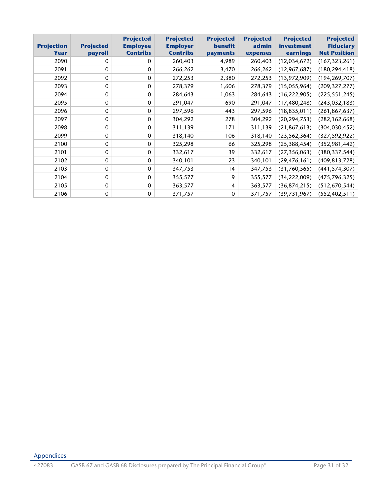| <b>Projection</b><br>Year | <b>Projected</b><br>payroll | <b>Projected</b><br><b>Employee</b><br><b>Contribs</b> | <b>Projected</b><br><b>Employer</b><br><b>Contribs</b> | <b>Projected</b><br>benefit<br>payments | <b>Projected</b><br>admin<br>expenses | <b>Projected</b><br>investment<br>earnings | <b>Projected</b><br><b>Fiduciary</b><br><b>Net Position</b> |
|---------------------------|-----------------------------|--------------------------------------------------------|--------------------------------------------------------|-----------------------------------------|---------------------------------------|--------------------------------------------|-------------------------------------------------------------|
| 2090                      | 0                           | $\mathbf{0}$                                           | 260,403                                                | 4,989                                   | 260,403                               | (12,034,672)                               | (167, 323, 261)                                             |
| 2091                      | $\mathbf 0$                 | $\mathbf{0}$                                           | 266,262                                                | 3,470                                   | 266,262                               | (12, 967, 687)                             | (180, 294, 418)                                             |
| 2092                      | $\Omega$                    | $\mathbf{0}$                                           | 272,253                                                | 2,380                                   | 272,253                               | (13,972,909)                               | (194, 269, 707)                                             |
| 2093                      | $\mathbf 0$                 | $\mathbf{0}$                                           | 278,379                                                | 1,606                                   | 278,379                               | (15,055,964)                               | (209, 327, 277)                                             |
| 2094                      | $\mathbf 0$                 | $\mathbf{0}$                                           | 284,643                                                | 1,063                                   | 284,643                               | (16, 222, 905)                             | (225, 551, 245)                                             |
| 2095                      | $\mathbf 0$                 | $\mathbf{0}$                                           | 291,047                                                | 690                                     | 291,047                               | (17, 480, 248)                             | (243, 032, 183)                                             |
| 2096                      | $\mathbf 0$                 | $\mathbf{0}$                                           | 297,596                                                | 443                                     | 297,596                               | (18, 835, 011)                             | (261, 867, 637)                                             |
| 2097                      | $\Omega$                    | $\mathbf{0}$                                           | 304,292                                                | 278                                     | 304,292                               | (20, 294, 753)                             | (282, 162, 668)                                             |
| 2098                      | $\Omega$                    | $\mathbf{0}$                                           | 311,139                                                | 171                                     | 311,139                               | (21, 867, 613)                             | (304, 030, 452)                                             |
| 2099                      | $\Omega$                    | $\mathbf{0}$                                           | 318,140                                                | 106                                     | 318,140                               | (23, 562, 364)                             | (327, 592, 922)                                             |
| 2100                      | $\Omega$                    | $\mathbf{0}$                                           | 325,298                                                | 66                                      | 325,298                               | (25, 388, 454)                             | (352, 981, 442)                                             |
| 2101                      | $\Omega$                    | $\mathbf{0}$                                           | 332,617                                                | 39                                      | 332,617                               | (27, 356, 063)                             | (380, 337, 544)                                             |
| 2102                      | $\mathbf 0$                 | $\mathbf{0}$                                           | 340,101                                                | 23                                      | 340,101                               | (29, 476, 161)                             | (409, 813, 728)                                             |
| 2103                      | $\mathbf 0$                 | $\mathbf{0}$                                           | 347,753                                                | 14                                      | 347,753                               | (31,760,565)                               | (441, 574, 307)                                             |
| 2104                      | $\mathbf 0$                 | $\mathbf{0}$                                           | 355,577                                                | 9                                       | 355,577                               | (34, 222, 009)                             | (475, 796, 325)                                             |
| 2105                      | $\mathbf 0$                 | $\mathbf{0}$                                           | 363,577                                                | 4                                       | 363,577                               | (36, 874, 215)                             | (512, 670, 544)                                             |
| 2106                      | $\mathbf 0$                 | $\mathbf{0}$                                           | 371,757                                                | $\mathbf 0$                             | 371,757                               | (39, 731, 967)                             | (552, 402, 511)                                             |